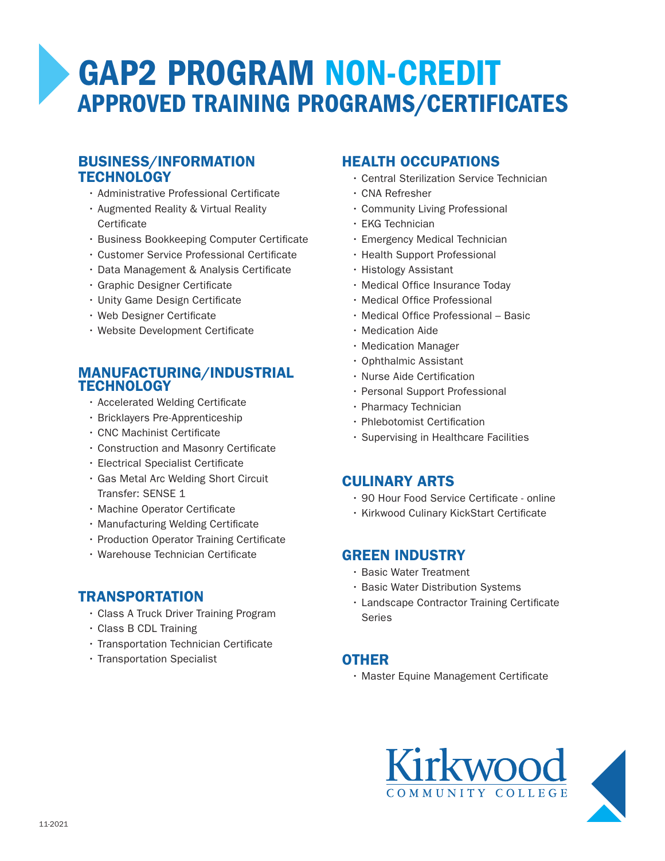# GAP2 PROGRAM NON-CREDIT APPROVED TRAINING PROGRAMS/CERTIFICATES

#### BUSINESS/INFORMATION **TECHNOLOGY**

- Administrative Professional Certificate
- Augmented Reality & Virtual Reality **Certificate**
- Business Bookkeeping Computer Certificate
- Customer Service Professional Certificate
- Data Management & Analysis Certificate
- Graphic Designer Certificate
- Unity Game Design Certificate
- Web Designer Certificate
- Website Development Certificate

#### MANUFACTURING/INDUSTRIAL **TECHNOLOGY**

- Accelerated Welding Certificate
- Bricklayers Pre-Apprenticeship
- CNC Machinist Certificate
- Construction and Masonry Certificate
- Electrical Specialist Certificate
- Gas Metal Arc Welding Short Circuit Transfer: SENSE 1
- Machine Operator Certificate
- Manufacturing Welding Certificate
- Production Operator Training Certificate
- Warehouse Technician Certificate

## **TRANSPORTATION**

- Class A Truck Driver Training Program
- Class B CDL Training
- Transportation Technician Certificate
- Transportation Specialist

#### HEALTH OCCUPATIONS

- Central Sterilization Service Technician
- CNA Refresher
- Community Living Professional
- EKG Technician
- Emergency Medical Technician
- Health Support Professional
- Histology Assistant
- Medical Office Insurance Today
- Medical Office Professional
- Medical Office Professional Basic
- Medication Aide
- Medication Manager
- Ophthalmic Assistant
- Nurse Aide Certification
- Personal Support Professional
- Pharmacy Technician
- Phlebotomist Certification
- Supervising in Healthcare Facilities

#### CULINARY ARTS

- 90 Hour Food Service Certificate online
- Kirkwood Culinary KickStart Certificate

#### GREEN INDUSTRY

- Basic Water Treatment
- Basic Water Distribution Systems
- Landscape Contractor Training Certificate Series

## **OTHER**

• Master Equine Management Certificate